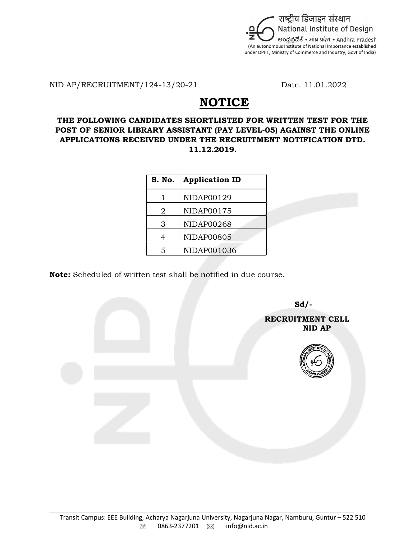

NID AP/RECRUITMENT/124-13/20-21 Date. 11.01.2022

## **NOTICE**

## THE FOLLOWING CANDIDATES SHORTLISTED FOR WRITTEN TEST FOR THE POST OF SENIOR LIBRARY ASSISTANT (PAY LEVEL-05) AGAINST THE ONLINE APPLICATIONS RECEIVED UNDER THE RECRUITMENT NOTIFICATION DTD. 11.12.2019.

| <b>S. No.</b> | <b>Application ID</b> |  |  |  |  |
|---------------|-----------------------|--|--|--|--|
|               | NIDAP00129            |  |  |  |  |
| 2             | NIDAP00175            |  |  |  |  |
| З             | <b>NIDAP00268</b>     |  |  |  |  |
|               | <b>NIDAP00805</b>     |  |  |  |  |
| 5             | NIDAP001036           |  |  |  |  |

Note: Scheduled of written test shall be notified in due course.

 $Sd$ - RECRUITMENT CELL ning and the state of the state of the state of the state of the state of the state of the state of the state o

\_\_\_\_\_\_\_\_\_\_\_\_\_\_\_\_\_\_\_\_\_\_\_\_\_\_\_\_\_\_\_\_\_\_\_\_\_\_\_\_\_\_\_\_\_\_\_\_\_\_\_\_\_\_\_\_\_\_\_\_\_\_\_\_\_\_\_\_\_\_\_\_\_\_\_\_\_\_\_\_\_\_\_\_\_\_\_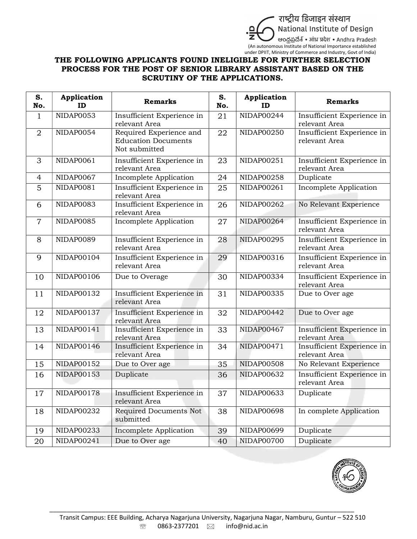

## THE FOLLOWING APPLICANTS FOUND INELIGIBLE FOR FURTHER SELECTION PROCESS FOR THE POST OF SENIOR LIBRARY ASSISTANT BASED ON THE SCRUTINY OF THE APPLICATIONS.

| S.<br>No.      | <b>Application</b><br>ID | <b>Remarks</b>                                                         | S.<br>No. | <b>Application</b><br>ID | <b>Remarks</b>                              |
|----------------|--------------------------|------------------------------------------------------------------------|-----------|--------------------------|---------------------------------------------|
| $\mathbf{1}$   | NIDAP0053                | Insufficient Experience in<br>relevant Area                            | 21        | NIDAP00244               | Insufficient Experience in<br>relevant Area |
| $\overline{2}$ | NIDAP0054                | Required Experience and<br><b>Education Documents</b><br>Not submitted | 22        | <b>NIDAP00250</b>        | Insufficient Experience in<br>relevant Area |
| 3              | NIDAP0061                | Insufficient Experience in<br>relevant Area                            | 23        | NIDAP00251               | Insufficient Experience in<br>relevant Area |
| $\overline{4}$ | NIDAP0067                | Incomplete Application                                                 | 24        | NIDAP00258               | Duplicate                                   |
| 5              | NIDAP0081                | Insufficient Experience in<br>relevant Area                            | 25        | NIDAP00261               | Incomplete Application                      |
| 6              | <b>NIDAP0083</b>         | Insufficient Experience in<br>relevant Area                            | 26        | NIDAP00262               | No Relevant Experience                      |
| $\overline{7}$ | <b>NIDAP0085</b>         | Incomplete Application                                                 | 27        | NIDAP00264               | Insufficient Experience in<br>relevant Area |
| 8              | <b>NIDAP0089</b>         | Insufficient Experience in<br>relevant Area                            | 28        | NIDAP00295               | Insufficient Experience in<br>relevant Area |
| 9              | NIDAP00104               | Insufficient Experience in<br>relevant Area                            | 29        | NIDAP00316               | Insufficient Experience in<br>relevant Area |
| 10             | NIDAP00106               | Due to Overage                                                         | 30        | NIDAP00334               | Insufficient Experience in<br>relevant Area |
| 11             | NIDAP00132               | Insufficient Experience in<br>relevant Area                            | 31        | NIDAP00335               | Due to Over age                             |
| 12             | NIDAP00137               | Insufficient Experience in<br>relevant Area                            | 32        | NIDAP00442               | Due to Over age                             |
| 13             | NIDAP00141               | Insufficient Experience in<br>relevant Area                            | 33        | <b>NIDAP00467</b>        | Insufficient Experience in<br>relevant Area |
| 14             | NIDAP00146               | Insufficient Experience in<br>relevant Area                            | 34        | NIDAP00471               | Insufficient Experience in<br>relevant Area |
| 15             | NIDAP00152               | Due to Over age                                                        | 35        | <b>NIDAP00508</b>        | No Relevant Experience                      |
| 16             | NIDAP00153               | Duplicate                                                              | 36        | <b>NIDAP00632</b>        | Insufficient Experience in<br>relevant Area |
| 17             | NIDAP00178               | Insufficient Experience in<br>relevant Area                            | 37        | NIDAP00633               | Duplicate                                   |
| 18             | NIDAP00232               | Required Documents Not<br>submitted                                    | 38        | NIDAP00698               | In complete Application                     |
| 19             | NIDAP00233               | Incomplete Application                                                 | 39        | NIDAP00699               | Duplicate                                   |
| 20             | NIDAP00241               | Due to Over age                                                        | 40        | NIDAP00700               | Duplicate                                   |



\_\_\_\_\_\_\_\_\_\_\_\_\_\_\_\_\_\_\_\_\_\_\_\_\_\_\_\_\_\_\_\_\_\_\_\_\_\_\_\_\_\_\_\_\_\_\_\_\_\_\_\_\_\_\_\_\_\_\_\_\_\_\_\_\_\_\_\_\_\_\_\_\_\_\_\_\_\_\_\_\_\_\_\_\_\_\_